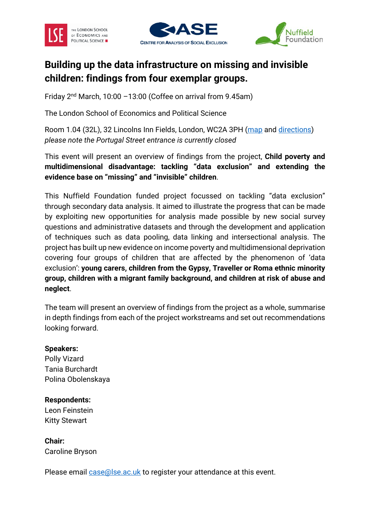





# **Building up the data infrastructure on missing and invisible children: findings from four exemplar groups.**

Friday 2nd March, 10:00 –13:00 (Coffee on arrival from 9.45am)

The London School of Economics and Political Science

Room 1.04 (32L), 32 Lincolns Inn Fields, London, WC2A 3PH [\(map](http://www.lse.ac.uk/lse-information/assets/documents/LSE-Campus-Accessibility-Map-July-2017.pdf) and [directions\)](http://www.lse.ac.uk/lse-information/travelling-to-lse) *please note the Portugal Street entrance is currently closed*

This event will present an overview of findings from the project, **Child poverty and multidimensional disadvantage: tackling "data exclusion" and extending the evidence base on "missing" and "invisible" children**.

This Nuffield Foundation funded project focussed on tackling "data exclusion" through secondary data analysis. It aimed to illustrate the progress that can be made by exploiting new opportunities for analysis made possible by new social survey questions and administrative datasets and through the development and application of techniques such as data pooling, data linking and intersectional analysis. The project has built up new evidence on income poverty and multidimensional deprivation covering four groups of children that are affected by the phenomenon of 'data exclusion': **young carers, children from the Gypsy, Traveller or Roma ethnic minority group, children with a migrant family background, and children at risk of abuse and neglect**.

The team will present an overview of findings from the project as a whole, summarise in depth findings from each of the project workstreams and set out recommendations looking forward.

### **Speakers:**

Polly Vizard Tania Burchardt Polina Obolenskaya

### **Respondents:**

Leon Feinstein Kitty Stewart

**Chair:** Caroline Bryson

Please email [case@lse.ac.uk](mailto:case@lse.ac.uk?subject=Report%20launch%202nd%20March:%20data%20on%20missing%20and%20invisible%20children) to register your attendance at this event.